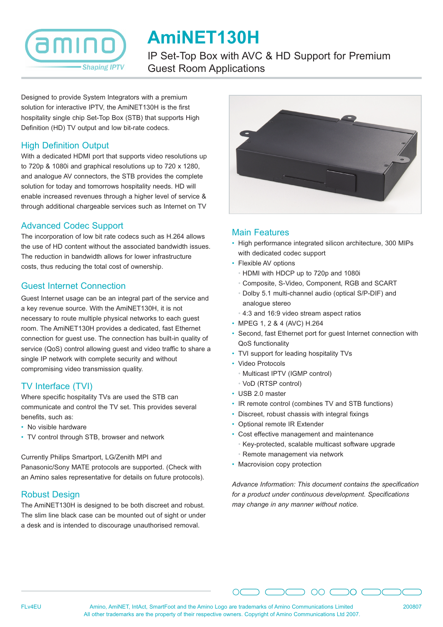

# **AmiNET130H**

IP Set-Top Box with AVC & HD Support for Premium Guest Room Applications

Designed to provide System Integrators with a premium solution for interactive IPTV, the AmiNET130H is the first hospitality single chip Set-Top Box (STB) that supports High Definition (HD) TV output and low bit-rate codecs.

## High Definition Output

With a dedicated HDMI port that supports video resolutions up to 720p & 1080i and graphical resolutions up to 720 x 1280, and analogue AV connectors, the STB provides the complete solution for today and tomorrows hospitality needs. HD will enable increased revenues through a higher level of service & through additional chargeable services such as Internet on TV

# Advanced Codec Support

The incorporation of low bit rate codecs such as H.264 allows the use of HD content without the associated bandwidth issues. The reduction in bandwidth allows for lower infrastructure costs, thus reducing the total cost of ownership.

#### Guest Internet Connection

Guest Internet usage can be an integral part of the service and a key revenue source. With the AmiNET130H, it is not necessary to route multiple physical networks to each guest room. The AmiNET130H provides a dedicated, fast Ethernet connection for guest use. The connection has built-in quality of service (QoS) control allowing guest and video traffic to share a single IP network with complete security and without compromising video transmission quality.

## TV Interface (TVI)

Where specific hospitality TVs are used the STB can communicate and control the TV set. This provides several benefits, such as:

- No visible hardware
- TV control through STB, browser and network

Currently Philips Smartport, LG/Zenith MPI and Panasonic/Sony MATE protocols are supported. (Check with

an Amino sales representative for details on future protocols).

#### Robust Design

The AmiNET130H is designed to be both discreet and robust. The slim line black case can be mounted out of sight or under a desk and is intended to discourage unauthorised removal.



## Main Features

- High performance integrated silicon architecture, 300 MIPs with dedicated codec support
- Flexible AV options
	- HDMI with HDCP up to 720p and 1080i
	- Composite, S-Video, Component, RGB and SCART
	- Dolby 5.1 multi-channel audio (optical S/P-DIF) and analogue stereo
	- 4:3 and 16:9 video stream aspect ratios
- MPEG 1, 2 & 4 (AVC) H.264
- Second, fast Ethernet port for guest Internet connection with QoS functionality
- TVI support for leading hospitality TVs
- Video Protocols
	- Multicast IPTV (IGMP control)
	- VoD (RTSP control)
- USB 2.0 master
- IR remote control (combines TV and STB functions)
- Discreet, robust chassis with integral fixings
- Optional remote IR Extender
- Cost effective management and maintenance
	- Key-protected, scalable multicast software upgrade
	- Remote management via network

 $\bigcap$ 

• Macrovision copy protection

*Advance Information: This document contains the specification for a product under continuous development. Specifications may change in any manner without notice.*

 $\supset$  00  $\bigcirc$  0  $\bigcirc$ 



FLv4EU Amino, AmiNET, IntAct, SmartFoot and the Amino Logo are trademarks of Amino Communications Limited All other trademarks are the property of their respective owners. Copyright of Amino Communications Ltd 2007.

 $\bigcirc$